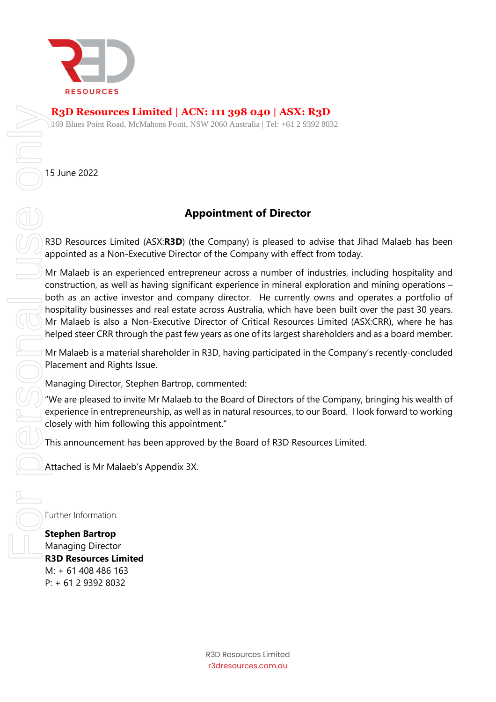

## **R3D Resources Limited | ACN: 111 398 040 | ASX: R3D**

169 Blues Point Road, McMahons Point, NSW 2060 Australia | Tel: +61 2 9392 8032

15 June 2022

# **Appointment of Director**

R3D Resources Limited (ASX:**R3D**) (the Company) is pleased to advise that Jihad Malaeb has been appointed as a Non-Executive Director of the Company with effect from today.

Mr Malaeb is an experienced entrepreneur across a number of industries, including hospitality and construction, as well as having significant experience in mineral exploration and mining operations – both as an active investor and company director. He currently owns and operates a portfolio of hospitality businesses and real estate across Australia, which have been built over the past 30 years. Mr Malaeb is also a Non-Executive Director of Critical Resources Limited (ASX:CRR), where he has helped steer CRR through the past few years as one of its largest shareholders and as a board member.

Mr Malaeb is a material shareholder in R3D, having participated in the Company's recently-concluded Placement and Rights Issue.

Managing Director, Stephen Bartrop, commented:

"We are pleased to invite Mr Malaeb to the Board of Directors of the Company, bringing his wealth of experience in entrepreneurship, as well as in natural resources, to our Board. I look forward to working closely with him following this appointment."

This announcement has been approved by the Board of R3D Resources Limited.

Attached is Mr Malaeb's Appendix 3X.

Further Information:

**Stephen Bartrop** Managing Director **R3D Resources Limited** M: + 61 408 486 163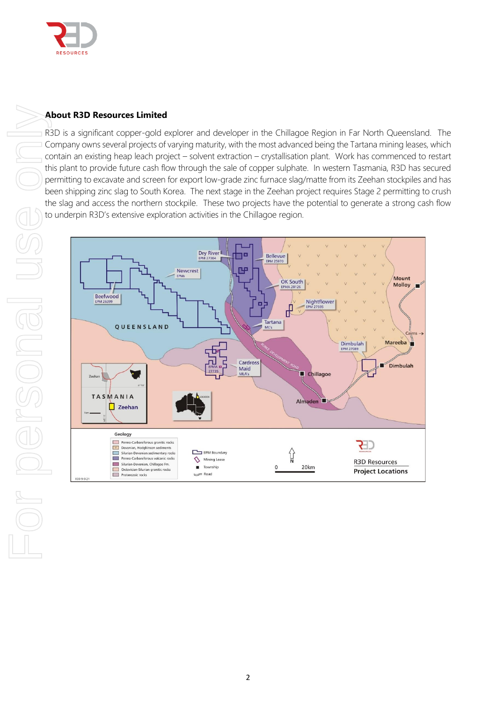

### About R3D Resources Limited

R3D is a significant copper-gold explorer and developer in the Chillagoe Region in Far North Queensland. The Company owns several projects of varying maturity, with the most advanced being the Tartana mining leases, which contain an existing heap leach project – solvent extraction – crystallisation plant. Work has commenced to restart this plant to provide future cash flow through the sale of copper sulphate. In western Tasmania, R3D has secured permitting to excavate and screen for export low-grade zinc furnace slag/matte from its Zeehan stockpiles and has been shipping zinc slag to South Korea. The next stage in the Zeehan project requires Stage 2 permitting to crush the slag and access the northern stockpile. These two projects have the potential to generate a strong cash flow